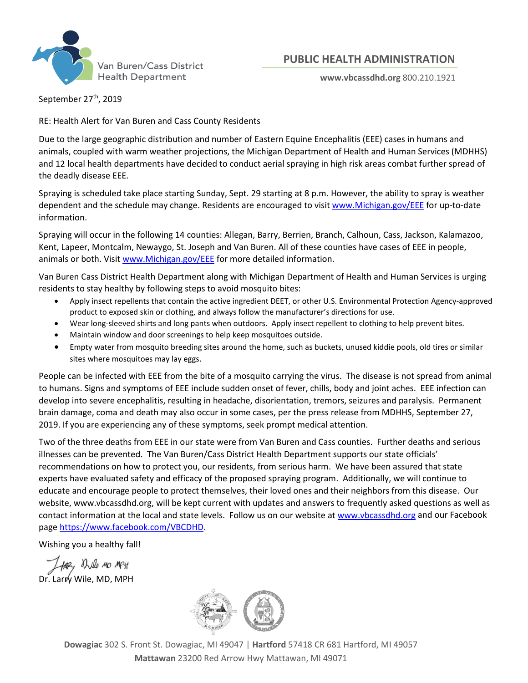

## **PUBLIC HEALTH ADMINISTRATION**

**www.vbcassdhd.org** 800.210.1921

September 27<sup>th</sup>, 2019

RE: Health Alert for Van Buren and Cass County Residents

Due to the large geographic distribution and number of Eastern Equine Encephalitis (EEE) cases in humans and animals, coupled with warm weather projections, the Michigan Department of Health and Human Services (MDHHS) and 12 local health departments have decided to conduct aerial spraying in high risk areas combat further spread of the deadly disease EEE.

Spraying is scheduled take place starting Sunday, Sept. 29 starting at 8 p.m. However, the ability to spray is weather dependent and the schedule may change. Residents are encouraged to visit [www.Michigan.gov/EEE](http://www.michigan.gov/EEE) for up-to-date information.

Spraying will occur in the following 14 counties: Allegan, Barry, Berrien, Branch, Calhoun, Cass, Jackson, Kalamazoo, Kent, Lapeer, Montcalm, Newaygo, St. Joseph and Van Buren. All of these counties have cases of EEE in people, animals or both. Visit [www.Michigan.gov/EEE](http://www.michigan.gov/EEE) for more detailed information.

Van Buren Cass District Health Department along with Michigan Department of Health and Human Services is urging residents to stay healthy by following steps to avoid mosquito bites:

- Apply insect repellents that contain the active ingredient DEET, or other U.S. Environmental Protection Agency-approved product to exposed skin or clothing, and always follow the manufacturer's directions for use.
- Wear long-sleeved shirts and long pants when outdoors. Apply insect repellent to clothing to help prevent bites.
- Maintain window and door screenings to help keep mosquitoes outside.
- Empty water from mosquito breeding sites around the home, such as buckets, unused kiddie pools, old tires or similar sites where mosquitoes may lay eggs.

People can be infected with EEE from the bite of a mosquito carrying the virus. The disease is not spread from animal to humans. Signs and symptoms of EEE include sudden onset of fever, chills, body and joint aches. EEE infection can develop into severe encephalitis, resulting in headache, disorientation, tremors, seizures and paralysis. Permanent brain damage, coma and death may also occur in some cases, per the press release from MDHHS, September 27, 2019. If you are experiencing any of these symptoms, seek prompt medical attention.

Two of the three deaths from EEE in our state were from Van Buren and Cass counties. Further deaths and serious illnesses can be prevented. The Van Buren/Cass District Health Department supports our state officials' recommendations on how to protect you, our residents, from serious harm. We have been assured that state experts have evaluated safety and efficacy of the proposed spraying program. Additionally, we will continue to educate and encourage people to protect themselves, their loved ones and their neighbors from this disease. Our website, www.vbcassdhd.org, will be kept current with updates and answers to frequently asked questions as well as contact information at the local and state levels. Follow us on our website a[t www.vbcassdhd.org](http://www.vbcassdhd.org/) and our Facebook page [https://www.facebook.com/VBCDHD.](https://www.facebook.com/VBCDHD)

Wishing you a healthy fall!

THEY BULL MO MPH<br>Dr. Larry Wile, MD, MPH



**Dowagiac** 302 S. Front St. Dowagiac, MI 49047 | **Hartford** 57418 CR 681 Hartford, MI 49057 **Mattawan** 23200 Red Arrow Hwy Mattawan, MI 49071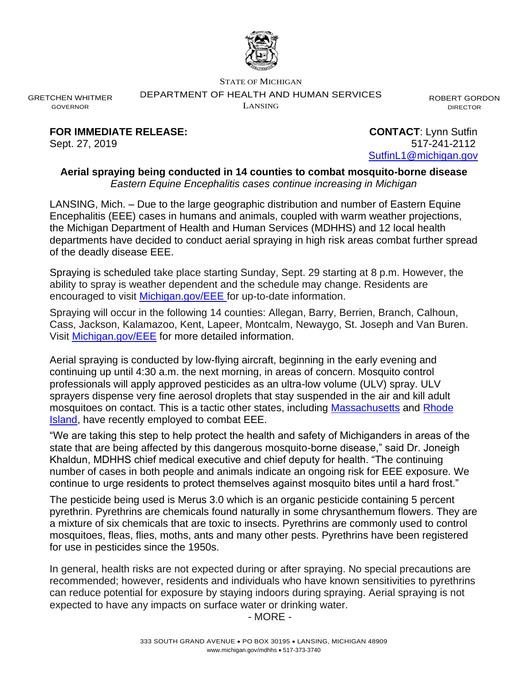

STATE OF MICHIGAN

DEPARTMENT OF HEALTH AND HUMAN SERVICES

LANSING

ROBERT GORDON DIRECTOR

GRETCHEN WHITMER GOVERNOR

**FOR IMMEDIATE RELEASE: CONTACT**: Lynn Sutfin

Sept. 27, 2019 517-241-2112 [SutfinL1@michigan.gov](mailto:SutfinL1@michigan.gov)

## **Aerial spraying being conducted in 14 counties to combat mosquito-borne disease** *Eastern Equine Encephalitis cases continue increasing in Michigan*

LANSING, Mich. – Due to the large geographic distribution and number of Eastern Equine Encephalitis (EEE) cases in humans and animals, coupled with warm weather projections, the Michigan Department of Health and Human Services (MDHHS) and 12 local health departments have decided to conduct aerial spraying in high risk areas combat further spread of the deadly disease EEE.

Spraying is scheduled take place starting Sunday, Sept. 29 starting at 8 p.m. However, the ability to spray is weather dependent and the schedule may change. Residents are encouraged to visit [Michigan.gov/EEE](https://www.michigan.gov/emergingdiseases/0,4579,7-186-76711_77442---,00.html) for up-to-date information.

Spraying will occur in the following 14 counties: Allegan, Barry, Berrien, Branch, Calhoun, Cass, Jackson, Kalamazoo, Kent, Lapeer, Montcalm, Newaygo, St. Joseph and Van Buren. Visit [Michigan.gov/EEE](https://www.michigan.gov/emergingdiseases/0,4579,7-186-76711_77442---,00.html) for more detailed information.

Aerial spraying is conducted by low-flying aircraft, beginning in the early evening and continuing up until 4:30 a.m. the next morning, in areas of concern. Mosquito control professionals will apply approved pesticides as an ultra-low volume (ULV) spray. ULV sprayers dispense very fine aerosol droplets that stay suspended in the air and kill adult mosquitoes on contact. This is a tactic other states, including [Massachusetts](https://www.mass.gov/news/state-officials-announce-additional-aerial-spraying-for-eee-in-critical-and-high-risk-0) and Rhode [Island,](https://www.ri.gov/press/view/36752) have recently employed to combat EEE.

"We are taking this step to help protect the health and safety of Michiganders in areas of the state that are being affected by this dangerous mosquito-borne disease," said Dr. Joneigh Khaldun, MDHHS chief medical executive and chief deputy for health. "The continuing number of cases in both people and animals indicate an ongoing risk for EEE exposure. We continue to urge residents to protect themselves against mosquito bites until a hard frost."

The pesticide being used is Merus 3.0 which is an organic pesticide containing 5 percent pyrethrin. Pyrethrins are chemicals found naturally in some chrysanthemum flowers. They are a mixture of six chemicals that are toxic to insects. Pyrethrins are commonly used to control mosquitoes, fleas, flies, moths, ants and many other pests. Pyrethrins have been registered for use in pesticides since the 1950s.

In general, health risks are not expected during or after spraying. No special precautions are recommended; however, residents and individuals who have known sensitivities to pyrethrins can reduce potential for exposure by staying indoors during spraying. Aerial spraying is not expected to have any impacts on surface water or drinking water.

- MORE -